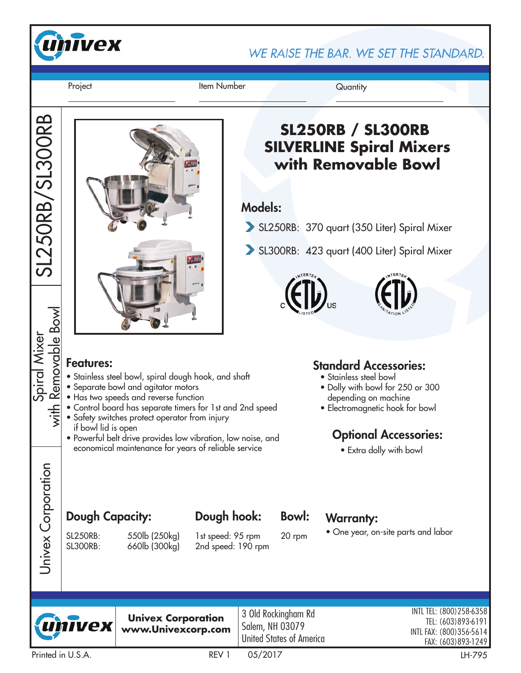

WE RAISE THE BAR. WE SET THE STANDARD.

Project **Item Number** Quantity

SL250RB/SL300RB

SL250RB/SL300RB



# **SL250RB / SL300RB SILVERLINE Spiral Mixers with Removable Bowl**

## Models:

- SL250RB: 370 quart (350 Liter) Spiral Mixer
- SL300RB: 423 quart (400 Liter) Spiral Mixer



#### Features:

- Stainless steel bowl, spiral dough hook, and shaft
- Separate bowl and agitator motors
- Has two speeds and reverse function
- Control board has separate timers for 1st and 2nd speed
- Safety switches protect operator from injury if bowl lid is open
- Powerful belt drive provides low vibration, low noise, and economical maintenance for years of reliable service

### Standard Accessories:

- Stainless steel bowl
- Dolly with bowl for 250 or 300 depending on machine
- Electromagnetic hook for bowl

# Optional Accessories:

• Extra dolly with bowl

# Dough Capacity: Dough hook: Bowl: Warranty:

Univex Corporation

Univex Corporation

 $\frac{1}{2}$ 

SL250RB: 550lb (250kg) SL300RB: 660lb (300kg)

1st speed: 95 rpm 2nd speed: 190 rpm

Dough hook:

Bowl: 20 rpm

• One year, on-site parts and labor

![](_page_0_Picture_28.jpeg)

**Univex Corporation www.Univexcorp.com**

3 Old Rockingham Rd Salem, NH 03079 United States of America

INTL TEL: (800)258-6358 TEL: (603)893-6191 INTL FAX: (800)356-5614 FAX: (603)893-1249